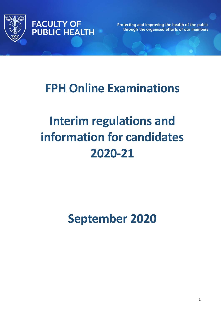



Protecting and improving the health of the public through the organised efforts of our members

## **FPH Online Examinations**

# **Interim regulations and information for candidates 2020-21**

**September 2020**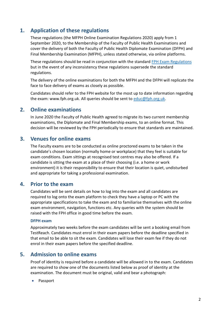## **1. Application of these regulations**

These regulations (the MFPH Online Examination Regulations 2020) apply from 1 September 2020, to the Membership of the Faculty of Public Health Examinations and cover the delivery of both the Faculty of Public Health Diplomate Examination (DFPH) and Final Membership Examination (MFPH), unless stated otherwise, via online platforms.

These regulations should be read in conjunction with the standard [FPH Exam Regulations](https://www.fph.org.uk/media/2866/regulations_v17_2020.pdf) but in the event of any inconsistency these regulations supersede the standard regulations.

The delivery of the online examinations for both the MFPH and the DFPH will replicate the face to face delivery of exams as closely as possible.

Candidates should refer to the FPH website for the most up to date information regarding the exam: [www.fph.org.uk.](http://www.fph.org.uk/) All queries should be sent to [educ@fph.org.uk.](mailto:educ@fph.org.uk)

## **2. Online examinations**

In June 2020 the Faculty of Public Health agreed to migrate its two current membership examinations, the Diplomate and Final Membership exams, to an online format. This decision will be reviewed by the FPH periodically to ensure that standards are maintained.

## **3. Venues for online exams**

The Faculty exams are to be conducted as online proctored exams to be taken in the candidate's chosen location (normally home or workplace) that they feel is suitable for exam conditions. Exam sittings at recognised test centres may also be offered. If a candidate is sitting the exam at a place of their choosing (i.e. a home or work environment) it is their responsibility to ensure that their location is quiet, undisturbed and appropriate for taking a professional examination.

## **4. Prior to the exam**

Candidates will be sent details on how to log into the exam and all candidates are required to log onto the exam platform to check they have a laptop or PC with the appropriate specifications to take the exam and to familiarise themselves with the online exam environment, navigation, functions etc. Any queries with the system should be raised with the FPH office in good time before the exam.

#### **DFPH exam**

Approximately two weeks before the exam candidates will be sent a booking email from TestReach. Candidates must enrol in their exam papers before the deadline specified in that email to be able to sit the exam. Candidates will lose their exam fee if they do not enrol in their exam papers before the specified deadline.

## **5. Admission to online exams**

Proof of identity is required before a candidate will be allowed in to the exam. Candidates are required to show one of the documents listed below as proof of identity at the examination. The document must be original, valid and bear a photograph:

• Passport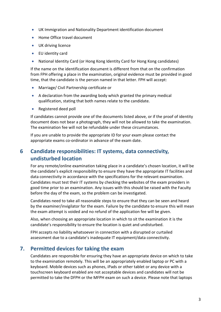- UK Immigration and Nationality Department identification document
- Home Office travel document
- UK driving licence
- EU identity card
- National Identity Card (or Hong Kong Identity Card for Hong Kong candidates)

If the name on the identification document is different from that on the confirmation from FPH offering a place in the examination, original evidence must be provided in good time, that the candidate is the person named in that letter. FPH will accept:

- Marriage/ Civil Partnership certificate or
- A declaration from the awarding body which granted the primary medical qualification, stating that both names relate to the candidate.
- Registered deed poll

If candidates cannot provide one of the documents listed above, or if the proof of identity document does not bear a photograph, they will not be allowed to take the examination. The examination fee will not be refundable under these circumstances.

If you are unable to provide the appropriate ID for your exam please contact the appropriate exams co-ordinator in advance of the exam date.

## **6 Candidate responsibilities: IT systems, data connectivity, undisturbed location**

For any remote/online examination taking place in a candidate's chosen location, it will be the candidate's explicit responsibility to ensure they have the appropriate IT facilities and data connectivity in accordance with the specifications for the relevant examination. Candidates must test their IT systems by checking the websites of the exam providers in good time prior to an examination. Any issues with this should be raised with the Faculty before the day of the exam, so the problem can be investigated.

Candidates need to take all reasonable steps to ensure that they can be seen and heard by the examiner/invigilator for the exam. Failure by the candidate to ensure this will mean the exam attempt is voided and no refund of the application fee will be given.

Also, when choosing an appropriate location in which to sit the examination it is the candidate's responsibility to ensure the location is quiet and undisturbed.

FPH accepts no liability whatsoever in connection with a disrupted or curtailed assessment due to a candidate's inadequate IT equipment/data connectivity.

## **7. Permitted devices for taking the exam**

Candidates are responsible for ensuring they have an appropriate device on which to take to the examination remotely. This will be an appropriately enabled laptop or PC with a keyboard. Mobile devices such as phones, iPads or other tablet or any device with a touchscreen keyboard enabled are not acceptable devices and candidates will not be permitted to take the DFPH or the MFPH exam on such a device. Please note that laptops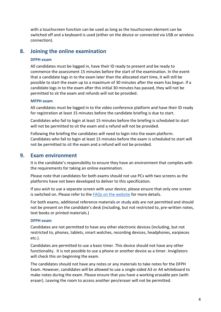with a touchscreen function can be used as long as the touchscreen element can be switched off and a keyboard is used (either on the device or connected via USB or wireless connection).

## **8. Joining the online examination**

#### **DFPH exam**

All candidates must be logged in, have their ID ready to present and be ready to commence the assessment 15 minutes before the start of the examination. In the event that a candidate logs in to the exam later than the allocated start time, it will still be possible to start the exam up to a maximum of 30 minutes after the exam has begun. If a candidate logs in to the exam after this initial 30 minutes has passed, they will not be permitted to sit the exam and refunds will not be provided.

#### **MFPH exam**

All candidates must be logged in to the video conference platform and have their ID ready for registration at least 15 minutes before the candidate briefing is due to start.

Candidates who fail to login at least 15 minutes before the briefing is scheduled to start will not be permitted to sit the exam and a refund will not be provided.

Following the briefing the candidates will need to login into the exam platform. Candidates who fail to login at least 15 minutes before the exam is scheduled to start will not be permitted to sit the exam and a refund will not be provided.

## **9. Exam environment**

It is the candidate's responsibility to ensure they have an environment that complies with the requirements for taking an online examination.

Please note that candidates for both exams should not use PCs with two screens as the platforms have not been developed to deliver to this specification.

If you wish to use a separate screen with your device, please ensure that only one screen is switched on. Please refer to the [FAQs on the website](https://www.fph.org.uk/training-careers/the-diplomate-dfph-and-final-membership-examination-mfph/exam-faqs/) for more details.

For both exams, additional reference materials or study aids are not permitted and should not be present on the candidate's desk (including, but not restricted to, pre-written notes, text books or printed materials.)

#### **DFPH exam**

Candidates are not permitted to have any other electronic devices (including, but not restricted to, phones, tablets, smart watches, recording devices, headphones, earpieces etc.).

Candidates are permitted to use a basic timer. This device should not have any other functionality. It is not possible to use a phone or another device as a timer. Invigilators will check this on beginning the exam.

The candidates should not have any notes or any materials to take notes for the DFPH Exam. However, candidates will be allowed to use a single-sided A3 or A4 whiteboard to make notes during the exam. Please ensure that you have a working erasable pen (with eraser). Leaving the room to access another pen/eraser will not be permitted.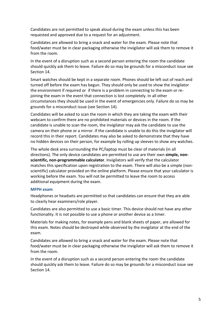Candidates are not permitted to speak aloud during the exam unless this has been requested and approved due to a request for an adjustment.

Candidates are allowed to bring a snack and water for the exam. Please note that food/water must be in clear packaging otherwise the invigilator will ask them to remove it from the room.

In the event of a disruption such as a second person entering the room the candidate should quickly ask them to leave. Failure do so may be grounds for a misconduct issue see Section 14.

Smart watches should be kept in a separate room. Phones should be left out of reach and turned off before the exam has begun. They should only be used to show the invigilator the environment if required or if there is a problem in connecting to the exam or rejoining the exam in the event that connection is lost completely. In all other circumstances they should be used in the event of emergencies only. Failure do so may be grounds for a misconduct issue (see Section 14).

Candidates will be asked to scan the room in which they are taking the exam with their webcam to confirm there are no prohibited materials or devices in the room. If the candidate is unable to scan the room, the invigilator may ask the candidate to use the camera on their phone or a mirror. If the candidate is unable to do this the invigilator will record this in their report. Candidates may also be asked to demonstrate that they have no hidden devices on their person, for example by rolling up sleeves to show any watches.

The whole desk area surrounding the PC/laptop must be clear of materials (in all directions). The only device candidates are permitted to use are their own **simple, nonscientific, non-programmable calculator**. Invigilators will verify that the calculator matches this specification upon registration to the exam. There will also be a simple (nonscientific) calculator provided on the online platform. Please ensure that your calculator is working before the exam. You will not be permitted to leave the room to access additional equipment during the exam.

#### **MFPH exam**

Headphones or headsets are permitted so that candidates can ensure that they are able to clearly hear examiners/role player.

Candidates are also permitted to use a basic timer. This device should not have any other functionality. It is not possible to use a phone or another device as a timer.

Materials for making notes, for example pens and blank sheets of paper, are allowed for this exam. Notes should be destroyed while observed by the invigilator at the end of the exam.

Candidates are allowed to bring a snack and water for the exam. Please note that food/water must be in clear packaging otherwise the invigilator will ask them to remove it from the room.

In the event of a disruption such as a second person entering the room the candidate should quickly ask them to leave. Failure do so may be grounds for a misconduct issue see Section 14.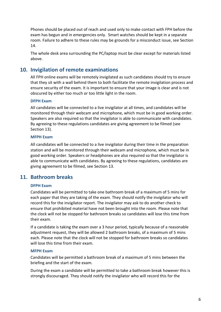Phones should be placed out of reach and used only to make contact with FPH before the exam has begun and in emergencies only. Smart watches should be kept in a separate room. Failure to adhere to these rules may be grounds for a misconduct issue, see Section 14.

The whole desk area surrounding the PC/laptop must be clear except for materials listed above.

## **10. Invigilation of remote examinations**

All FPH online exams will be remotely invigilated as such candidates should try to ensure that they sit with a wall behind them to both facilitate the remote invigilation process and ensure security of the exam. It is important to ensure that your image is clear and is not obscured by either too much or too little light in the room.

#### **DFPH Exam**

All candidates will be connected to a live invigilator at all times, and candidates will be monitored through their webcam and microphone, which must be in good working order. Speakers are also required so that the invigilator is able to communicate with candidates. By agreeing to these regulations candidates are giving agreement to be filmed (see Section 13).

#### **MFPH Exam**

All candidates will be connected to a live invigilator during their time in the preparation station and will be monitored through their webcam and microphone, which must be in good working order. Speakers or headphones are also required so that the invigilator is able to communicate with candidates. By agreeing to these regulations, candidates are giving agreement to be filmed, see Section 13.

## **11. Bathroom breaks**

#### **DFPH Exam**

Candidates will be permitted to take one bathroom break of a maximum of 5 mins for each paper that they are taking of the exam. They should notify the invigilator who will record this for the invigilator report. The invigilator may ask to do another check to ensure that prohibited material have not been brought into the room. Please note that the clock will not be stopped for bathroom breaks so candidates will lose this time from their exam.

If a candidate is taking the exam over a 3 hour period, typically because of a reasonable adjustment request, they will be allowed 2 bathroom breaks, of a maximum of 5 mins each. Please note that the clock will not be stopped for bathroom breaks so candidates will lose this time from their exam.

#### **MFPH Exam**

Candidates will be permitted a bathroom break of a maximum of 5 mins between the briefing and the start of the exam.

During the exam a candidate will be permitted to take a bathroom break however this is strongly discouraged. They should notify the invigilator who will record this for the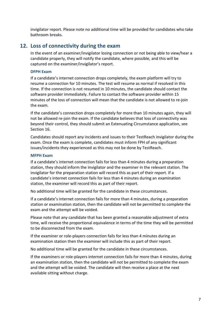invigilator report. Please note no additional time will be provided for candidates who take bathroom breaks.

## **12. Loss of connectivity during the exam**

In the event of an examiner/invigilator losing connection or not being able to view/hear a candidate properly, they will notify the candidate, where possible, and this will be captured on the examiner/invigilator's report.

#### **DFPH Exam**

If a candidate's internet connection drops completely, the exam platform will try to resume a connection for 10 minutes. The test will resume as normal if resolved in this time. If the connection is not resumed in 10 minutes, the candidate should contact the software provider immediately. Failure to contact the software provider within 15 minutes of the loss of connection will mean that the candidate is not allowed to re-join the exam.

If the candidate's connection drops completely for more than 10 minutes again, they will not be allowed re-join the exam. If the candidate believes that loss of connectivity was beyond their control, they should submit an Extenuating Circumstance application, see Section 16.

Candidates should report any incidents and issues to their TestReach invigilator during the exam. Once the exam is complete, candidates must inform FPH of any significant issues/incidents they experienced as this may not be done by TestReach.

#### **MFPH Exam**

If a candidate's internet connection fails for less than 4 minutes during a preparation station, they should inform the invigilator and the examiner in the relevant station. The invigilator for the preparation station will record this as part of their report. If a candidate's internet connection fails for less than 4 minutes during an examination station, the examiner will record this as part of their report.

No additional time will be granted for the candidate in these circumstances.

If a candidate's internet connection fails for more than 4 minutes, during a preparation station or examination station, then the candidate will not be permitted to complete the exam and the attempt will be voided.

Please note that any candidate that has been granted a reasonable adjustment of extra time, will receive the proportional equivalence in terms of the time they will be permitted to be disconnected from the exam.

If the examiner or role-players connection fails for less than 4 minutes during an examination station then the examiner will include this as part of their report.

No additional time will be granted for the candidate in these circumstances.

If the examiners or role-players internet connection fails for more than 4 minutes, during an examination station, then the candidate will not be permitted to complete the exam and the attempt will be voided. The candidate will then receive a place at the next available sitting without charge.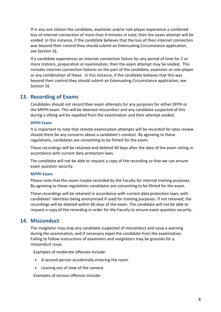If in any one station the candidate, examiner and/or role player experience a combined loss of internet connection of more than 4 minutes in total, then the exam attempt will be voided. In this instance, if the candidate believes that the loss of their internet connection was beyond their control they should submit an Extenuating Circumstance application, see Section 16.

If a candidate experiences an internet connection failure for any period of time for 2 or more stations, preparation or examination, then the exam attempt may be voided. This includes internet connection failures on the part of the candidate, examiner or role-player or any combination of these. In this instance, if the candidate believes that this was beyond their control they should submit an Extenuating Circumstance application, see Section 16.

## **13. Recording of Exams**

Candidates should not record their exam attempts for any purposes for either DFPH or the MFPH exam. This will be deemed misconduct and any candidate suspected of this during a sitting will be expelled from the examination and their attempt voided.

#### **DFPH Exam**

It is important to note that remote examination attempts will be recorded for later review should there be any concerns about a candidate's conduct. By agreeing to these regulations, candidates are consenting to be filmed for the exam.

These recordings will be retained and deleted 60 days after the date of the exam sitting in accordance with current data protection laws.

The candidate will not be able to request a copy of the recording so that we can ensure exam question security.

#### **MFPH Exam**

Please note that this exam maybe recorded by the Faculty for internal training purposes. By agreeing to these regulations candidates are consenting to be filmed for the exam.

These recordings will be retained in accordance with current data protection laws, with candidates' identities being anonymised if used for training purposes. If not retained, the recordings will be deleted within 60 days of the exam. The candidate will not be able to request a copy of the recording in order for the Faculty to ensure exam question security.

## **14. Misconduct**

The invigilator may stop any candidate suspected of misconduct and issue a warning during the examination, and if necessary expel the candidate from the examination. Failing to follow instructions of examiners and invigilators may be grounds for a misconduct issue.

Examples of moderate offences include:

- A second person accidentally entering the room.
- Leaning out of view of the camera.

Examples of serious offences include: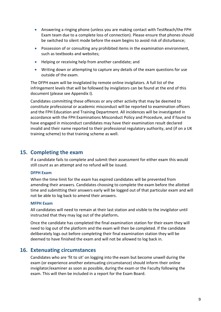- Answering a ringing phone (unless you are making contact with TestReach/the FPH Exam team due to a complete loss of connection). Please ensure that phones should be switched to silent mode before the exam begins to avoid risk of disturbance;
- Possession of or consulting any prohibited items in the examination environment, such as textbooks and websites;
- Helping or receiving help from another candidate; and
- Writing down or attempting to capture any details of the exam questions for use outside of the exam.

The DFPH exam will be invigilated by remote online invigilators. A full list of the infringement levels that will be followed by invigilators can be found at the end of this document (please see Appendix I).

Candidates committing these offences or any other activity that may be deemed to constitute professional or academic misconduct will be reported to examination officers and the FPH Education and Training Department. All incidences will be investigated in accordance with the FPH Examinations Misconduct Policy and Procedure, and if found to have engaged in misconduct candidates may have their examination result declared invalid and their name reported to their professional regulatory authority, and (if on a UK training scheme) to that training scheme as well.

## **15. Completing the exam**

If a candidate fails to complete and submit their assessment for either exam this would still count as an attempt and no refund will be issued.

#### **DFPH Exam**

When the time limit for the exam has expired candidates will be prevented from amending their answers. Candidates choosing to complete the exam before the allotted time and submitting their answers early will be logged out of that particular exam and will not be able to log back to amend their answers.

#### **MFPH Exam**

All candidates will need to remain at their last station and visible to the invigilator until instructed that they may log out of the platform**.**

Once the candidate has completed the final examination station for their exam they will need to log out of the platform and the exam will then be completed. If the candidate deliberately logs out before completing their final examination station they will be deemed to have finished the exam and will not be allowed to log back in.

### **16. Extenuating circumstances**

Candidates who are 'fit to sit' on logging into the exam but become unwell during the exam (or experience another extenuating circumstance) should inform their online invigilator/examiner as soon as possible, during the exam or the Faculty following the exam. This will then be included in a report for the Exam Board.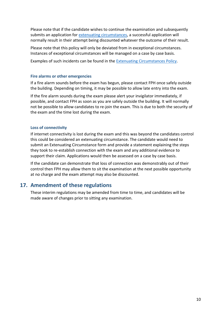Please note that if the candidate wishes to continue the examination and subsequently submits an application for [extenuating circumstances,](https://www.fph.org.uk/training-careers/the-diplomate-dfph-and-final-membership-examination-mfph/useful-information-relating-to-both-examinations/) a successful application will normally result in their attempt being discounted whatever the outcome of their result.

Please note that this policy will only be deviated from in exceptional circumstances. Instances of exceptional circumstances will be managed on a case by case basis.

Examples of such incidents can be found in the [Extenuating Circumstances Policy.](https://www.fph.org.uk/training-careers/the-diplomate-dfph-and-final-membership-examination-mfph/useful-information-relating-to-both-examinations/)

#### **Fire alarms or other emergencies**

If a fire alarm sounds before the exam has begun, please contact FPH once safely outside the building. Depending on timing, it may be possible to allow late entry into the exam.

If the fire alarm sounds during the exam please alert your invigilator immediately, if possible, and contact FPH as soon as you are safely outside the building. It will normally not be possible to allow candidates to re-join the exam. This is due to both the security of the exam and the time lost during the exam.

#### **Loss of connectivity**

If internet connectivity is lost during the exam and this was beyond the candidates control this could be considered an extenuating circumstance. The candidate would need to submit an Extenuating Circumstance form and provide a statement explaining the steps they took to re-establish connection with the exam and any additional evidence to support their claim. Applications would then be assessed on a case by case basis.

If the candidate can demonstrate that loss of connection was demonstrably out of their control then FPH may allow them to sit the examination at the next possible opportunity at no charge and the exam attempt may also be discounted.

## **17. Amendment of these regulations**

These interim regulations may be amended from time to time, and candidates will be made aware of changes prior to sitting any examination.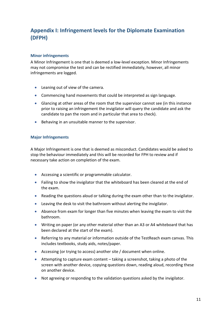## **Appendix I: Infringement levels for the Diplomate Examination (DFPH)**

#### **Minor infringements**

A Minor Infringement is one that is deemed a low-level exception. Minor Infringements may not compromise the test and can be rectified immediately, however, all minor infringements are logged.

- Leaning out of view of the camera.
- Commencing hand movements that could be interpreted as sign language.
- Glancing at other areas of the room that the supervisor cannot see (in this instance prior to raising an infringement the invigilator will query the candidate and ask the candidate to pan the room and in particular that area to check).
- Behaving in an unsuitable manner to the supervisor.

#### **Major Infringements**

A Major Infringement is one that is deemed as misconduct. Candidates would be asked to stop the behaviour immediately and this will be recorded for FPH to review and if necessary take action on completion of the exam.

- Accessing a scientific or programmable calculator.
- Failing to show the invigilator that the whiteboard has been cleared at the end of the exam.
- Reading the questions aloud or talking during the exam other than to the invigilator.
- Leaving the desk to visit the bathroom without alerting the invigilator.
- Absence from exam for longer than five minutes when leaving the exam to visit the bathroom.
- Writing on paper (or any other material other than an A3 or A4 whiteboard that has been declared at the start of the exam).
- Referring to any material or information outside of the TestReach exam canvas. This includes textbooks, study aids, notes/paper.
- Accessing (or trying to access) another site / document when online.
- Attempting to capture exam content taking a screenshot, taking a photo of the screen with another device, copying questions down, reading aloud, recording these on another device.
- Not agreeing or responding to the validation questions asked by the invigilator.